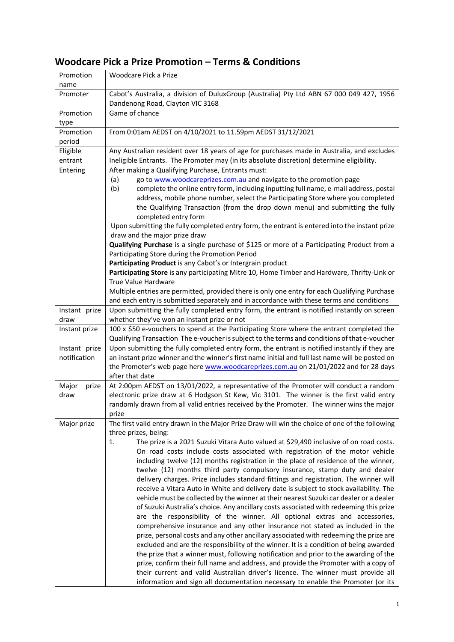## **Woodcare Pick a Prize Promotion – Terms & Conditions**

| Promotion<br>name             | Woodcare Pick a Prize                                                                                                                                                                                                                                                                                                                                                                                                                                                                                                                                                                                                                                                                                                                                                                                                                                                                                                                                                                                                                                                                                                                                                                                                                                                                                                                                                                                                          |
|-------------------------------|--------------------------------------------------------------------------------------------------------------------------------------------------------------------------------------------------------------------------------------------------------------------------------------------------------------------------------------------------------------------------------------------------------------------------------------------------------------------------------------------------------------------------------------------------------------------------------------------------------------------------------------------------------------------------------------------------------------------------------------------------------------------------------------------------------------------------------------------------------------------------------------------------------------------------------------------------------------------------------------------------------------------------------------------------------------------------------------------------------------------------------------------------------------------------------------------------------------------------------------------------------------------------------------------------------------------------------------------------------------------------------------------------------------------------------|
| Promoter                      | Cabot's Australia, a division of DuluxGroup (Australia) Pty Ltd ABN 67 000 049 427, 1956<br>Dandenong Road, Clayton VIC 3168                                                                                                                                                                                                                                                                                                                                                                                                                                                                                                                                                                                                                                                                                                                                                                                                                                                                                                                                                                                                                                                                                                                                                                                                                                                                                                   |
| Promotion<br>type             | Game of chance                                                                                                                                                                                                                                                                                                                                                                                                                                                                                                                                                                                                                                                                                                                                                                                                                                                                                                                                                                                                                                                                                                                                                                                                                                                                                                                                                                                                                 |
| Promotion<br>period           | From 0:01am AEDST on 4/10/2021 to 11.59pm AEDST 31/12/2021                                                                                                                                                                                                                                                                                                                                                                                                                                                                                                                                                                                                                                                                                                                                                                                                                                                                                                                                                                                                                                                                                                                                                                                                                                                                                                                                                                     |
| Eligible                      | Any Australian resident over 18 years of age for purchases made in Australia, and excludes                                                                                                                                                                                                                                                                                                                                                                                                                                                                                                                                                                                                                                                                                                                                                                                                                                                                                                                                                                                                                                                                                                                                                                                                                                                                                                                                     |
| entrant<br>Entering           | Ineligible Entrants. The Promoter may (in its absolute discretion) determine eligibility.<br>After making a Qualifying Purchase, Entrants must:                                                                                                                                                                                                                                                                                                                                                                                                                                                                                                                                                                                                                                                                                                                                                                                                                                                                                                                                                                                                                                                                                                                                                                                                                                                                                |
|                               | go to www.woodcareprizes.com.au and navigate to the promotion page<br>(a)<br>complete the online entry form, including inputting full name, e-mail address, postal<br>(b)<br>address, mobile phone number, select the Participating Store where you completed<br>the Qualifying Transaction (from the drop down menu) and submitting the fully<br>completed entry form                                                                                                                                                                                                                                                                                                                                                                                                                                                                                                                                                                                                                                                                                                                                                                                                                                                                                                                                                                                                                                                         |
|                               | Upon submitting the fully completed entry form, the entrant is entered into the instant prize<br>draw and the major prize draw                                                                                                                                                                                                                                                                                                                                                                                                                                                                                                                                                                                                                                                                                                                                                                                                                                                                                                                                                                                                                                                                                                                                                                                                                                                                                                 |
|                               | Qualifying Purchase is a single purchase of \$125 or more of a Participating Product from a<br>Participating Store during the Promotion Period                                                                                                                                                                                                                                                                                                                                                                                                                                                                                                                                                                                                                                                                                                                                                                                                                                                                                                                                                                                                                                                                                                                                                                                                                                                                                 |
|                               | Participating Product is any Cabot's or Intergrain product                                                                                                                                                                                                                                                                                                                                                                                                                                                                                                                                                                                                                                                                                                                                                                                                                                                                                                                                                                                                                                                                                                                                                                                                                                                                                                                                                                     |
|                               | Participating Store is any participating Mitre 10, Home Timber and Hardware, Thrifty-Link or<br>True Value Hardware                                                                                                                                                                                                                                                                                                                                                                                                                                                                                                                                                                                                                                                                                                                                                                                                                                                                                                                                                                                                                                                                                                                                                                                                                                                                                                            |
|                               | Multiple entries are permitted, provided there is only one entry for each Qualifying Purchase                                                                                                                                                                                                                                                                                                                                                                                                                                                                                                                                                                                                                                                                                                                                                                                                                                                                                                                                                                                                                                                                                                                                                                                                                                                                                                                                  |
|                               | and each entry is submitted separately and in accordance with these terms and conditions                                                                                                                                                                                                                                                                                                                                                                                                                                                                                                                                                                                                                                                                                                                                                                                                                                                                                                                                                                                                                                                                                                                                                                                                                                                                                                                                       |
| Instant prize<br>draw         | Upon submitting the fully completed entry form, the entrant is notified instantly on screen<br>whether they've won an instant prize or not                                                                                                                                                                                                                                                                                                                                                                                                                                                                                                                                                                                                                                                                                                                                                                                                                                                                                                                                                                                                                                                                                                                                                                                                                                                                                     |
| Instant prize                 | 100 x \$50 e-vouchers to spend at the Participating Store where the entrant completed the<br>Qualifying Transaction The e-voucher is subject to the terms and conditions of that e-voucher                                                                                                                                                                                                                                                                                                                                                                                                                                                                                                                                                                                                                                                                                                                                                                                                                                                                                                                                                                                                                                                                                                                                                                                                                                     |
| Instant prize<br>notification | Upon submitting the fully completed entry form, the entrant is notified instantly if they are<br>an instant prize winner and the winner's first name initial and full last name will be posted on<br>the Promoter's web page here www.woodcareprizes.com.au on 21/01/2022 and for 28 days<br>after that date                                                                                                                                                                                                                                                                                                                                                                                                                                                                                                                                                                                                                                                                                                                                                                                                                                                                                                                                                                                                                                                                                                                   |
| Major<br>prize<br>draw        | At 2:00pm AEDST on 13/01/2022, a representative of the Promoter will conduct a random<br>electronic prize draw at 6 Hodgson St Kew, Vic 3101. The winner is the first valid entry<br>randomly drawn from all valid entries received by the Promoter. The winner wins the major<br>prize                                                                                                                                                                                                                                                                                                                                                                                                                                                                                                                                                                                                                                                                                                                                                                                                                                                                                                                                                                                                                                                                                                                                        |
| Major prize                   | The first valid entry drawn in the Major Prize Draw will win the choice of one of the following<br>three prizes, being:                                                                                                                                                                                                                                                                                                                                                                                                                                                                                                                                                                                                                                                                                                                                                                                                                                                                                                                                                                                                                                                                                                                                                                                                                                                                                                        |
|                               | The prize is a 2021 Suzuki Vitara Auto valued at \$29,490 inclusive of on road costs.<br>1.<br>On road costs include costs associated with registration of the motor vehicle<br>including twelve (12) months registration in the place of residence of the winner,<br>twelve (12) months third party compulsory insurance, stamp duty and dealer<br>delivery charges. Prize includes standard fittings and registration. The winner will<br>receive a Vitara Auto in White and delivery date is subject to stock availability. The<br>vehicle must be collected by the winner at their nearest Suzuki car dealer or a dealer<br>of Suzuki Australia's choice. Any ancillary costs associated with redeeming this prize<br>are the responsibility of the winner. All optional extras and accessories,<br>comprehensive insurance and any other insurance not stated as included in the<br>prize, personal costs and any other ancillary associated with redeeming the prize are<br>excluded and are the responsibility of the winner. It is a condition of being awarded<br>the prize that a winner must, following notification and prior to the awarding of the<br>prize, confirm their full name and address, and provide the Promoter with a copy of<br>their current and valid Australian driver's licence. The winner must provide all<br>information and sign all documentation necessary to enable the Promoter (or its |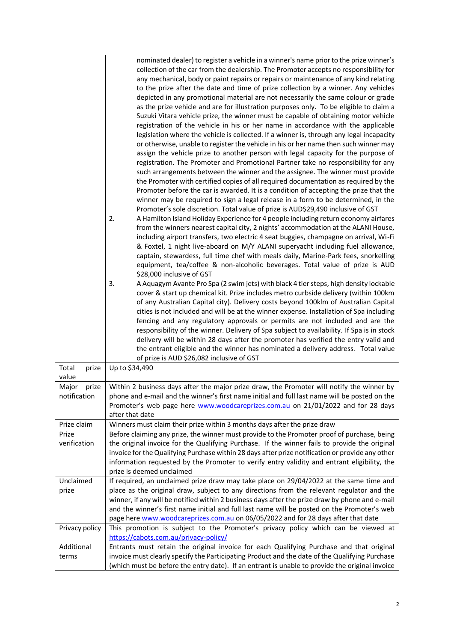|                                | nominated dealer) to register a vehicle in a winner's name prior to the prize winner's<br>collection of the car from the dealership. The Promoter accepts no responsibility for<br>any mechanical, body or paint repairs or repairs or maintenance of any kind relating<br>to the prize after the date and time of prize collection by a winner. Any vehicles<br>depicted in any promotional material are not necessarily the same colour or grade<br>as the prize vehicle and are for illustration purposes only. To be eligible to claim a<br>Suzuki Vitara vehicle prize, the winner must be capable of obtaining motor vehicle<br>registration of the vehicle in his or her name in accordance with the applicable<br>legislation where the vehicle is collected. If a winner is, through any legal incapacity<br>or otherwise, unable to register the vehicle in his or her name then such winner may<br>assign the vehicle prize to another person with legal capacity for the purpose of<br>registration. The Promoter and Promotional Partner take no responsibility for any<br>such arrangements between the winner and the assignee. The winner must provide<br>the Promoter with certified copies of all required documentation as required by the<br>Promoter before the car is awarded. It is a condition of accepting the prize that the |
|--------------------------------|--------------------------------------------------------------------------------------------------------------------------------------------------------------------------------------------------------------------------------------------------------------------------------------------------------------------------------------------------------------------------------------------------------------------------------------------------------------------------------------------------------------------------------------------------------------------------------------------------------------------------------------------------------------------------------------------------------------------------------------------------------------------------------------------------------------------------------------------------------------------------------------------------------------------------------------------------------------------------------------------------------------------------------------------------------------------------------------------------------------------------------------------------------------------------------------------------------------------------------------------------------------------------------------------------------------------------------------------------------|
|                                | winner may be required to sign a legal release in a form to be determined, in the<br>Promoter's sole discretion. Total value of prize is AUD\$29,490 inclusive of GST<br>2.<br>A Hamilton Island Holiday Experience for 4 people including return economy airfares<br>from the winners nearest capital city, 2 nights' accommodation at the ALANI House,<br>including airport transfers, two electric 4 seat buggies, champagne on arrival, Wi-Fi<br>& Foxtel, 1 night live-aboard on M/Y ALANI superyacht including fuel allowance,<br>captain, stewardess, full time chef with meals daily, Marine-Park fees, snorkelling<br>equipment, tea/coffee & non-alcoholic beverages. Total value of prize is AUD<br>\$28,000 inclusive of GST                                                                                                                                                                                                                                                                                                                                                                                                                                                                                                                                                                                                               |
|                                | 3.<br>A Aquagym Avante Pro Spa (2 swim jets) with black 4 tier steps, high density lockable<br>cover & start up chemical kit. Prize includes metro curbside delivery (within 100km<br>of any Australian Capital city). Delivery costs beyond 100klm of Australian Capital<br>cities is not included and will be at the winner expense. Installation of Spa including<br>fencing and any regulatory approvals or permits are not included and are the<br>responsibility of the winner. Delivery of Spa subject to availability. If Spa is in stock<br>delivery will be within 28 days after the promoter has verified the entry valid and<br>the entrant eligible and the winner has nominated a delivery address. Total value<br>of prize is AUD \$26,082 inclusive of GST                                                                                                                                                                                                                                                                                                                                                                                                                                                                                                                                                                             |
| Total<br>prize<br>value        | Up to \$34,490                                                                                                                                                                                                                                                                                                                                                                                                                                                                                                                                                                                                                                                                                                                                                                                                                                                                                                                                                                                                                                                                                                                                                                                                                                                                                                                                         |
| Major<br>prize<br>notification | Within 2 business days after the major prize draw, the Promoter will notify the winner by<br>phone and e-mail and the winner's first name initial and full last name will be posted on the<br>Promoter's web page here www.woodcareprizes.com.au on 21/01/2022 and for 28 days<br>after that date                                                                                                                                                                                                                                                                                                                                                                                                                                                                                                                                                                                                                                                                                                                                                                                                                                                                                                                                                                                                                                                      |
| Prize claim                    | Winners must claim their prize within 3 months days after the prize draw                                                                                                                                                                                                                                                                                                                                                                                                                                                                                                                                                                                                                                                                                                                                                                                                                                                                                                                                                                                                                                                                                                                                                                                                                                                                               |
| Prize<br>verification          | Before claiming any prize, the winner must provide to the Promoter proof of purchase, being<br>the original invoice for the Qualifying Purchase. If the winner fails to provide the original<br>invoice for the Qualifying Purchase within 28 days after prize notification or provide any other<br>information requested by the Promoter to verify entry validity and entrant eligibility, the<br>prize is deemed unclaimed                                                                                                                                                                                                                                                                                                                                                                                                                                                                                                                                                                                                                                                                                                                                                                                                                                                                                                                           |
| Unclaimed<br>prize             | If required, an unclaimed prize draw may take place on 29/04/2022 at the same time and<br>place as the original draw, subject to any directions from the relevant regulator and the<br>winner, if any will be notified within 2 business days after the prize draw by phone and e-mail<br>and the winner's first name initial and full last name will be posted on the Promoter's web<br>page here www.woodcareprizes.com.au on 06/05/2022 and for 28 days after that date                                                                                                                                                                                                                                                                                                                                                                                                                                                                                                                                                                                                                                                                                                                                                                                                                                                                             |
| Privacy policy                 | This promotion is subject to the Promoter's privacy policy which can be viewed at<br>https://cabots.com.au/privacy-policy/                                                                                                                                                                                                                                                                                                                                                                                                                                                                                                                                                                                                                                                                                                                                                                                                                                                                                                                                                                                                                                                                                                                                                                                                                             |
| Additional                     | Entrants must retain the original invoice for each Qualifying Purchase and that original                                                                                                                                                                                                                                                                                                                                                                                                                                                                                                                                                                                                                                                                                                                                                                                                                                                                                                                                                                                                                                                                                                                                                                                                                                                               |
| terms                          | invoice must clearly specify the Participating Product and the date of the Qualifying Purchase<br>(which must be before the entry date). If an entrant is unable to provide the original invoice                                                                                                                                                                                                                                                                                                                                                                                                                                                                                                                                                                                                                                                                                                                                                                                                                                                                                                                                                                                                                                                                                                                                                       |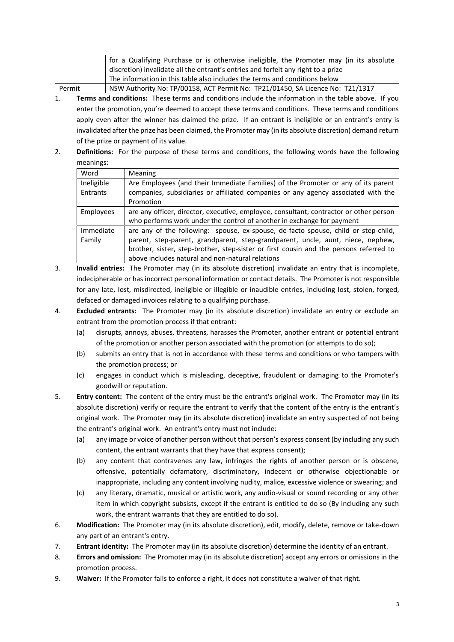|        | for a Qualifying Purchase or is otherwise ineligible, the Promoter may (in its absolute |
|--------|-----------------------------------------------------------------------------------------|
|        | discretion) invalidate all the entrant's entries and forfeit any right to a prize       |
|        | The information in this table also includes the terms and conditions below              |
| Permit | NSW Authority No: TP/00158, ACT Permit No: TP21/01450, SA Licence No: T21/1317          |

- 1. **Terms and conditions:** These terms and conditions include the information in the table above. If you enter the promotion, you're deemed to accept these terms and conditions. These terms and conditions apply even after the winner has claimed the prize. If an entrant is ineligible or an entrant's entry is invalidated after the prize has been claimed, the Promoter may (in its absolute discretion) demand return of the prize or payment of its value.
- 2. **Definitions:** For the purpose of these terms and conditions, the following words have the following meanings:

| Word       | <b>Meaning</b>                                                                         |
|------------|----------------------------------------------------------------------------------------|
| Ineligible | Are Employees (and their Immediate Families) of the Promoter or any of its parent      |
| Entrants   | companies, subsidiaries or affiliated companies or any agency associated with the      |
|            | Promotion                                                                              |
| Employees  | are any officer, director, executive, employee, consultant, contractor or other person |
|            | who performs work under the control of another in exchange for payment                 |
| Immediate  | are any of the following: spouse, ex-spouse, de-facto spouse, child or step-child,     |
| Family     | parent, step-parent, grandparent, step-grandparent, uncle, aunt, niece, nephew,        |
|            | brother, sister, step-brother, step-sister or first cousin and the persons referred to |
|            | above includes natural and non-natural relations                                       |

- 3. **Invalid entries:** The Promoter may (in its absolute discretion) invalidate an entry that is incomplete, indecipherable or has incorrect personal information or contact details. The Promoter is not responsible for any late, lost, misdirected, ineligible or illegible or inaudible entries, including lost, stolen, forged, defaced or damaged invoices relating to a qualifying purchase.
- 4. **Excluded entrants:** The Promoter may (in its absolute discretion) invalidate an entry or exclude an entrant from the promotion process if that entrant:
	- (a) disrupts, annoys, abuses, threatens, harasses the Promoter, another entrant or potential entrant of the promotion or another person associated with the promotion (or attempts to do so);
	- (b) submits an entry that is not in accordance with these terms and conditions or who tampers with the promotion process; or
	- (c) engages in conduct which is misleading, deceptive, fraudulent or damaging to the Promoter's goodwill or reputation.
- 5. **Entry content:** The content of the entry must be the entrant's original work. The Promoter may (in its absolute discretion) verify or require the entrant to verify that the content of the entry is the entrant's original work. The Promoter may (in its absolute discretion) invalidate an entry suspected of not being the entrant's original work. An entrant's entry must not include:
	- (a) any image or voice of another person without that person's express consent (by including any such content, the entrant warrants that they have that express consent);
	- (b) any content that contravenes any law, infringes the rights of another person or is obscene, offensive, potentially defamatory, discriminatory, indecent or otherwise objectionable or inappropriate, including any content involving nudity, malice, excessive violence or swearing; and
	- (c) any literary, dramatic, musical or artistic work, any audio-visual or sound recording or any other item in which copyright subsists, except if the entrant is entitled to do so (By including any such work, the entrant warrants that they are entitled to do so).
- 6. **Modification:** The Promoter may (in its absolute discretion), edit, modify, delete, remove or take-down any part of an entrant's entry.
- 7. **Entrant identity:** The Promoter may (in its absolute discretion) determine the identity of an entrant.
- 8. **Errors and omission:** The Promoter may (in its absolute discretion) accept any errors or omissions in the promotion process.
- 9. **Waiver:** If the Promoter fails to enforce a right, it does not constitute a waiver of that right.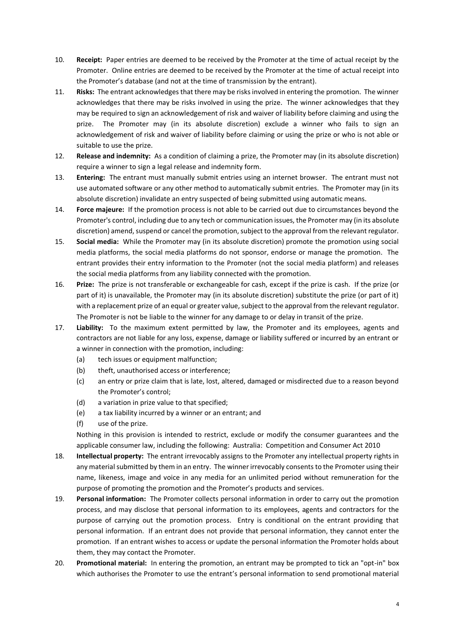- 10. **Receipt:** Paper entries are deemed to be received by the Promoter at the time of actual receipt by the Promoter. Online entries are deemed to be received by the Promoter at the time of actual receipt into the Promoter's database (and not at the time of transmission by the entrant).
- 11. **Risks:** The entrant acknowledges that there may be risks involved in entering the promotion. The winner acknowledges that there may be risks involved in using the prize. The winner acknowledges that they may be required to sign an acknowledgement of risk and waiver of liability before claiming and using the prize. The Promoter may (in its absolute discretion) exclude a winner who fails to sign an acknowledgement of risk and waiver of liability before claiming or using the prize or who is not able or suitable to use the prize.
- 12. **Release and indemnity:** As a condition of claiming a prize, the Promoter may (in its absolute discretion) require a winner to sign a legal release and indemnity form.
- 13. **Entering:** The entrant must manually submit entries using an internet browser. The entrant must not use automated software or any other method to automatically submit entries. The Promoter may (in its absolute discretion) invalidate an entry suspected of being submitted using automatic means.
- 14. **Force majeure:** If the promotion process is not able to be carried out due to circumstances beyond the Promoter's control, including due to any tech or communication issues, the Promoter may (in its absolute discretion) amend, suspend or cancel the promotion, subject to the approval from the relevant regulator.
- 15. **Social media:** While the Promoter may (in its absolute discretion) promote the promotion using social media platforms, the social media platforms do not sponsor, endorse or manage the promotion. The entrant provides their entry information to the Promoter (not the social media platform) and releases the social media platforms from any liability connected with the promotion.
- 16. **Prize:** The prize is not transferable or exchangeable for cash, except if the prize is cash. If the prize (or part of it) is unavailable, the Promoter may (in its absolute discretion) substitute the prize (or part of it) with a replacement prize of an equal or greater value, subject to the approval from the relevant regulator. The Promoter is not be liable to the winner for any damage to or delay in transit of the prize.
- 17. **Liability:** To the maximum extent permitted by law, the Promoter and its employees, agents and contractors are not liable for any loss, expense, damage or liability suffered or incurred by an entrant or a winner in connection with the promotion, including:
	- (a) tech issues or equipment malfunction;
	- (b) theft, unauthorised access or interference;
	- (c) an entry or prize claim that is late, lost, altered, damaged or misdirected due to a reason beyond the Promoter's control;
	- (d) a variation in prize value to that specified;
	- (e) a tax liability incurred by a winner or an entrant; and
	- (f) use of the prize.

Nothing in this provision is intended to restrict, exclude or modify the consumer guarantees and the applicable consumer law, including the following: Australia: Competition and Consumer Act 2010

- 18. **Intellectual property:** The entrant irrevocably assigns to the Promoter any intellectual property rights in any material submitted by them in an entry. The winner irrevocably consents to the Promoter using their name, likeness, image and voice in any media for an unlimited period without remuneration for the purpose of promoting the promotion and the Promoter's products and services.
- 19. **Personal information:** The Promoter collects personal information in order to carry out the promotion process, and may disclose that personal information to its employees, agents and contractors for the purpose of carrying out the promotion process. Entry is conditional on the entrant providing that personal information. If an entrant does not provide that personal information, they cannot enter the promotion. If an entrant wishes to access or update the personal information the Promoter holds about them, they may contact the Promoter.
- 20. **Promotional material:** In entering the promotion, an entrant may be prompted to tick an "opt-in" box which authorises the Promoter to use the entrant's personal information to send promotional material